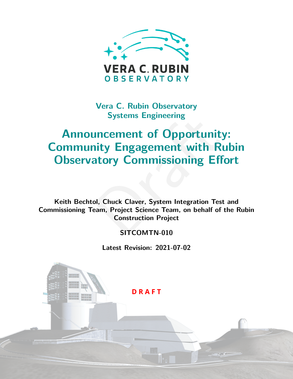

**Vera C. Rubin Observatory Systems Engineering**

# Systems Engmeering<br>
Incernent of Opportunity:<br>
ity Engagement with Rul<br>
atory Commissioning Effo<br>
D. Chuck Claver, System Integration Test a<br>
D. Chuck Claver, System Integration Test a<br>
Construction Project<br>
SITCOMTN-010 **Announcement of Opportunity: Community Engagement with Rubin Observatory Commissioning Effort**

**Keith Bechtol, Chuck Claver, System Integration Test and Commissioning Team, Project Science Team, on behalf of the Rubin Construction Project**

#### **SITCOMTN-010**

**Latest Revision: 2021-07-02**

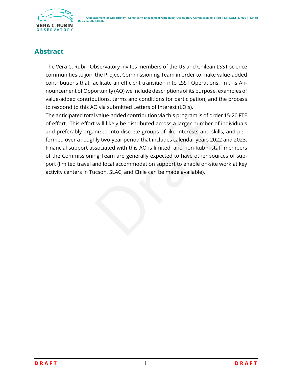

## **Abstract**

The Vera C. Rubin Observatory invites members of the US and Chilean LSST science communities to join the Project Commissioning Team in order to make value-added contributions that facilitate an efficient transition into LSST Operations. In this Announcement of Opportunity (AO) we include descriptions of its purpose, examples of value-added contributions, terms and conditions for participation, and the process to respond to this AO via submitted Letters of Interest (LOIs).

I value-added contribution via this program is of order 13<br>
i. will likely be distributed across a larger number of indi-<br>
inized into discrete groups of like interests and skills, and<br>
sociated with this AO is limited, an The anticipated total value-added contribution via this program is of order 15-20 FTE of effort. This effort will likely be distributed across a larger number of individuals and preferably organized into discrete groups of like interests and skills, and performed over a roughly two-year period that includes calendar years 2022 and 2023. Financial support associated with this AO is limited, and non-Rubin-staff members of the Commissioning Team are generally expected to have other sources of support (limited travel and local accommodation support to enable on-site work at key activity centers in Tucson, SLAC, and Chile can be made available).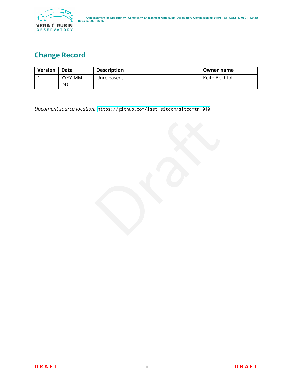

## **Change Record**

| <b>Version</b> | Date     | <b>Description</b> | Owner name    |
|----------------|----------|--------------------|---------------|
|                | YYYY-MM- | Unreleased.        | Keith Bechtol |
|                | DD       |                    |               |

*Document source location:* <https://github.com/lsst-sitcom/sitcomtn-010>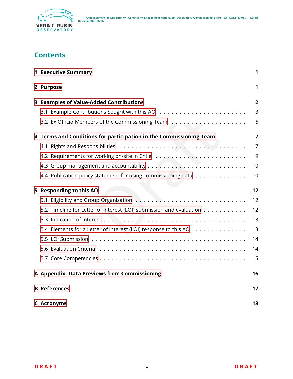

## **Contents**

| <b>1 Executive Summary</b>                                          | 1              |
|---------------------------------------------------------------------|----------------|
| 2 Purpose                                                           | 1              |
| 3 Examples of Value-Added Contributions                             | $\overline{2}$ |
|                                                                     | 3              |
| 3.2 Ex Officio Members of the Commissioning Team                    | 6              |
| 4 Terms and Conditions for participation in the Commissioning Team  | 7              |
|                                                                     | $\overline{7}$ |
|                                                                     | 9              |
|                                                                     | 10             |
| 4.4 Publication policy statement for using commissioning data       | 10             |
| 5 Responding to this AO                                             | 12             |
|                                                                     | 12             |
| 5.2 Timeline for Letter of Interest (LOI) submission and evaluation | 12             |
|                                                                     | 13             |
| 5.4 Elements for a Letter of Interest (LOI) response to this AO     | 13             |
|                                                                     | 14             |
|                                                                     | 14             |
|                                                                     | 15             |
| A Appendix: Data Previews from Commissioning                        | 16             |
| <b>B</b> References                                                 | 17             |
| <b>C</b> Acronyms                                                   | 18             |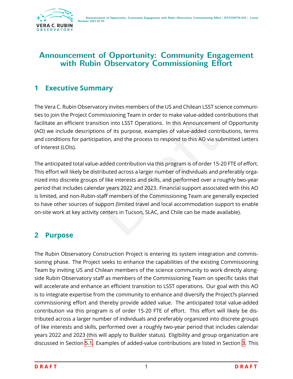

## **Announcement of Opportunity: Community Engagement with Rubin Observatory Commissioning Effort**

## <span id="page-4-0"></span>**1 Executive Summary**

The Vera C. Rubin Observatory invites members of the US and Chilean LSST science communities to join the Project Commissioning Team in order to make value-added contributions that facilitate an efficient transition into LSST Operations. In this Announcement of Opportunity (AO) we include descriptions of its purpose, examples of value-added contributions, terms and conditions for participation, and the process to respond to this AO via submitted Letters of Interest (LOIs).

minissioning reammotour to make value-added contrinuation into LSST Operations. In this Announcement of (<br>ions of its purpose, examples of value-added contributipation, and the process to respond to this AO via submi<br>ne-ad The anticipated total value-added contribution via this program is of order 15-20 FTE of effort. This effort will likely be distributed across a larger number of individuals and preferably organized into discrete groups of like interests and skills, and performed over a roughly two-year period that includes calendar years 2022 and 2023. Financial support associated with this AO is limited, and non-Rubin-staff members of the Commissioning Team are generally expected to have other sources of support (limited travel and local accommodation support to enable on-site work at key activity centers in Tucson, SLAC, and Chile can be made available).

## <span id="page-4-1"></span>**2 Purpose**

The Rubin Observatory Construction Project is entering its system integration and commissioning phase. The Project seeks to enhance the capabilities of the existing Commissioning Team by inviting US and Chilean members of the science community to work directly alongside Rubin Observatory staff as members of the Commissioning Team on specific tasks that will accelerate and enhance an efficient transition to LSST operations. Our goal with this AO is to integrate expertise from the community to enhance and diversify the Project?s planned commissioning effort and thereby provide added value. The anticipated total value-added contribution via this program is of order 15-20 FTE of effort. This effort will likely be distributed across a larger number of individuals and preferably organized into discrete groups of like interests and skills, performed over a roughly two-year period that includes calendar years 2022 and 2023 (this will apply to Builder status). Eligibility and group organization are discussed in Section [5.1](#page-15-1). Examples of added-value contributions are listed in Section [3.](#page-5-0) This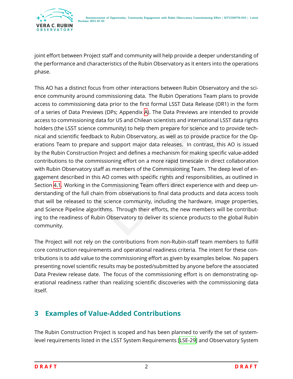joint effort between Project staff and community will help provide a deeper understanding of the performance and characteristics of the Rubin Observatory as it enters into the operations phase.

data for US and Chilean scientists and international LSS1<br>
De community) to help them prepare for science and to p<br>
ack to Rubin Observatory, as well as to provide practice<br>
re and support major data releases. In contrast, This AO has a distinct focus from other interactions between Rubin Observatory and the science community around commissioning data. The Rubin Operations Team plans to provide access to commissioning data prior to the first formal LSST Data Release (DR1) in the form of a series of Data Previews (DPs; Appendix [A\)](#page-19-0). The Data Previews are intended to provide access to commissioning data for US and Chilean scientists and international LSST data rights holders (the LSST science community) to help them prepare for science and to provide technical and scientific feedback to Rubin Observatory, as well as to provide practice for the Operations Team to prepare and support major data releases. In contrast, this AO is issued by the Rubin Construction Project and defines a mechanism for making specific value-added contributions to the commissioning effort on a more rapid timescale in direct collaboration with Rubin Observatory staff as members of the Commissioning Team. The deep level of engagement described in this AO comes with specific rights and responsibilities, as outlined in Section [4.1](#page-10-1). Working in the Commissioning Team offers direct experience with and deep understanding of the full chain from observations to final data products and data access tools that will be released to the science community, including the hardware, image properties, and Science Pipeline algorithms. Through their efforts, the new members will be contributing to the readiness of Rubin Observatory to deliver its science products to the global Rubin community.

The Project will not rely on the contributions from non-Rubin-staff team members to fulfill core construction requirements and operational readiness criteria. The intent for these contributions is to add value to the commissioning effort as given by examples below. No papers presenting novel scientific results may be posted/submitted by anyone before the associated Data Preview release date. The focus of the commissioning effort is on demonstrating operational readiness rather than realizing scientific discoveries with the commissioning data itself.

## <span id="page-5-0"></span>**3 Examples of Value-Added Contributions**

The Rubin Construction Project is scoped and has been planned to verify the set of systemlevel requirements listed in the LSST System Requirements [\[LSE-29](#page-21-1)] and Observatory System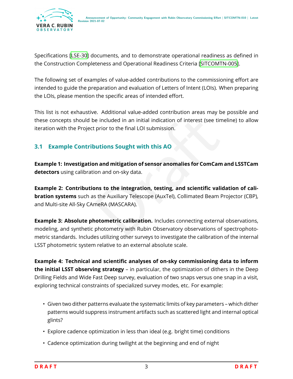Specifications[[LSE-30](#page-21-2)] documents, and to demonstrate operational readiness as defined in the Construction Completeness and Operational Readiness Criteria[[SITCOMTN-005\]](#page-21-3).

The following set of examples of value-added contributions to the commissioning effort are intended to guide the preparation and evaluation of Letters of Intent (LOIs). When preparing the LOIs, please mention the specific areas of intended effort.

This list is not exhaustive. Additional value-added contribution areas may be possible and these concepts should be included in an initial indication of interest (see timeline) to allow iteration with the Project prior to the final LOI submission.

#### <span id="page-6-0"></span>**3.1 Example Contributions Sought with this AO**

**Example 1: Investigation and mitigation of sensor anomalies for ComCam and LSSTCam detectors** using calibration and on-sky data.

in prior to the final LOI submission.<br>
Separation of interest (see timelial prior to the final LOI submission.<br>
Nutions Sought with this AO<br>
In and mitigation of sensor anomalies for ComCam an<br>
Separation of sensor anomali **Example 2: Contributions to the integration, testing, and scientific validation of calibration systems** such as the Auxiliary Telescope (AuxTel), Collimated Beam Projector (CBP), and Multi-site All-Sky CAmeRA (MASCARA).

**Example 3: Absolute photometric calibration.** Includes connecting external observations, modeling, and synthetic photometry with Rubin Observatory observations of spectrophotometric standards. Includes utilizing other surveys to investigate the calibration of the internal LSST photometric system relative to an external absolute scale.

**Example 4: Technical and scientific analyses of on-sky commissioning data to inform the initial LSST observing strategy** – in particular, the optimization of dithers in the Deep Drilling Fields and Wide Fast Deep survey, evaluation of two snaps versus one snap in a visit, exploring technical constraints of specialized survey modes, etc. For example:

- Given two dither patterns evaluate the systematic limits of key parameters which dither patterns would suppress instrument artifacts such as scattered light and internal optical glints?
- Explore cadence optimization in less than ideal (e.g. bright time) conditions
- Cadence optimization during twilight at the beginning and end of night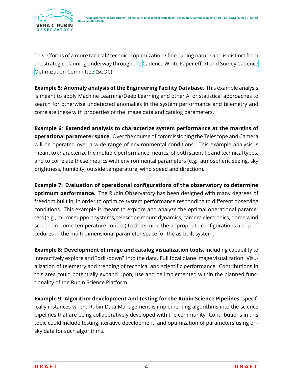

This effort is of a more tactical / technical optimization / fine-tuning nature and is distinct from the strategic planning underway through the [Cadence White Paper](https://www.lsst.org/content/survey-cadence-notes-2021) effort and [Survey Cadence](https://www.lsst.org/content/charge-survey-cadence-optimization-committee-scoc) [Optimization Committee](https://www.lsst.org/content/charge-survey-cadence-optimization-committee-scoc) (SCOC).

**Example 5: Anomaly analysis of the Engineering Facility Database.** This example analysis is meant to apply Machine Learning/Deep Learning and other AI or statistical approaches to search for otherwise undetected anomalies in the system performance and telemetry and correlate these with properties of the image data and catalog parameters.

**Example 6: Extended analysis to characterize system performance at the margins of operational parameter space.** Over the course of commissioning the Telescope and Camera will be operated over a wide range of environmental conditions. This example analysis is meant to characterize the multiple performance metrics, of both scientific and technical types, and to correlate these metrics with environmental parameters (e.g., atmospheric seeing, sky brightness, humidity, outside temperature, wind speed and direction).

**Inalysis to characterize system performance at the**<br> **space.** Over the course of commissioning the Telescope a<br>
wide range of environmental conditions. This example<br>
emultiple performance metrics, of both scientific and t **Example 7: Evaluation of operational configurations of the observatory to determine optimum performance.** The Rubin Observatory has been designed with many degrees of freedom built in, in order to optimize system performance responding to different observing conditions. This example is meant to explore and analyze the optimal operational parameters (e.g., mirror support systems, telescope mount dynamics, camera electronics, dome wind screen, in-dome temperature control) to determine the appropriate configurations and procedures in the multi-dimensional parameter space for the as-built system.

**Example 8: Development of image and catalog visualization tools,** including capability to interactively explore and ?drill-down? into the data. Full focal plane image visualization. Visualization of telemetry and trending of technical and scientific performance. Contributions in this area could potentially expand upon, use and be implemented within the planned functionality of the Rubin Science Platform.

**Example 9: Algorithm development and testing for the Rubin Science Pipelines,** specifically instances where Rubin Data Management is implementing algorithms into the science pipelines that are being collaboratively developed with the community. Contributions in this topic could include testing, iterative development, and optimization of parameters using onsky data for such algorithms.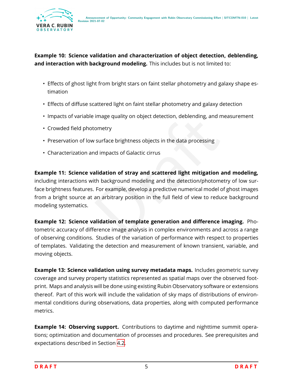#### **Example 10: Science validation and characterization of object detection, deblending, and interaction with background modeling.** This includes but is not limited to:

- Effects of ghost light from bright stars on faint stellar photometry and galaxy shape estimation
- Effects of diffuse scattered light on faint stellar photometry and galaxy detection
- Impacts of variable image quality on object detection, deblending, and measurement
- Crowded field photometry
- Preservation of low surface brightness objects in the data processing
- Characterization and impacts of Galactic cirrus

Image quality on object detection, deblending, and mea<br>
ometry<br>
surface brightness objects in the data processing<br>
alidation of stray and scattered light mitigation and<br>
th background modeling and the detection/photometry<br> **Example 11: Science validation of stray and scattered light mitigation and modeling,** including interactions with background modeling and the detection/photometry of low surface brightness features. For example, develop a predictive numerical model of ghost images from a bright source at an arbitrary position in the full field of view to reduce background modeling systematics.

**Example 12: Science validation of template generation and difference imaging.** Photometric accuracy of difference image analysis in complex environments and across a range of observing conditions. Studies of the variation of performance with respect to properties of templates. Validating the detection and measurement of known transient, variable, and moving objects.

**Example 13: Science validation using survey metadata maps.** Includes geometric survey coverage and survey property statistics represented as spatial maps over the observed footprint. Maps and analysis will be done using existing Rubin Observatory software or extensions thereof. Part of this work will include the validation of sky maps of distributions of environmental conditions during observations, data properties, along with computed performance metrics.

**Example 14: Observing support.** Contributions to daytime and nighttime summit operations; optimization and documentation of processes and procedures. See prerequisites and expectations described in Section [4.2](#page-12-0) .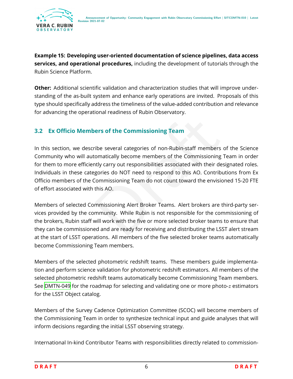**Example 15: Developing user-oriented documentation of science pipelines, data access services, and operational procedures,** including the development of tutorials through the Rubin Science Platform.

**Other:** Additional scientific validation and characterization studies that will improve understanding of the as-built system and enhance early operations are invited. Proposals of this type should specifically address the timeliness of the value-added contribution and relevance for advancing the operational readiness of Rubin Observatory.

#### **3.2 Ex Officio Members of the Commissioning Team**

<span id="page-9-0"></span>ers of the Commissioning Team<br>
The several categories of non-Rubin-staff members of<br>
Intervally become members of the Commissioning Team<br>
Interval carry out responsibilities associated with their desig<br>
gories do NOT need In this section, we describe several categories of non-Rubin-staff members of the Science Community who will automatically become members of the Commissioning Team in order for them to more efficiently carry out responsibilities associated with their designated roles. Individuals in these categories do NOT need to respond to this AO. Contributions from Ex Officio members of the Commissioning Team do not count toward the envisioned 15-20 FTE of effort associated with this AO.

Members of selected Commissioning Alert Broker Teams. Alert brokers are third-party services provided by the community. While Rubin is not responsible for the commissioning of the brokers, Rubin staff will work with the five or more selected broker teams to ensure that they can be commissioned and are ready for receiving and distributing the LSST alert stream at the start of LSST operations. All members of the five selected broker teams automatically become Commissioning Team members.

Members of the selected photometric redshift teams. These members guide implementation and perform science validation for photometric redshift estimators. All members of the selected photometric redshift teams automatically become Commissioning Team members. See [DMTN-049](#page-21-4) for the roadmap for selecting and validating one or more photo- $\it z$  estimators for the LSST Object catalog.

Members of the Survey Cadence Optimization Committee (SCOC) will become members of the Commissioning Team in order to synthesize technical input and guide analyses that will inform decisions regarding the initial LSST observing strategy.

International In-kind Contributor Teams with responsibilities directly related to commission-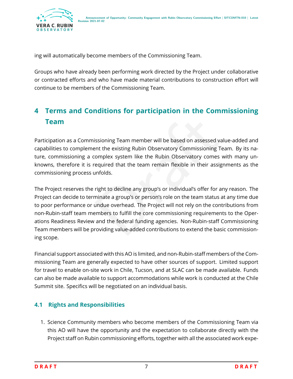

ing will automatically become members of the Commissioning Team.

Groups who have already been performing work directed by the Project under collaborative or contracted efforts and who have made material contributions to construction effort will continue to be members of the Commissioning Team.

## <span id="page-10-0"></span>**4 Terms and Conditions for participation in the Commissioning Team**

Participation as a Commissioning Team member will be based on assessed value-added and capabilities to complement the existing Rubin Observatory Commissioning Team. By its nature, commissioning a complex system like the Rubin Observatory comes with many unknowns, therefore it is required that the team remain flexible in their assignments as the commissioning process unfolds.

issioning Team member will be based on assessed value<br>ent the existing Rubin Observatory Commissioning Team<br>complex system like the Rubin Observatory comes wit<br>required that the team remain flexible in their assignm<br>unfold The Project reserves the right to decline any group's or individual's offer for any reason. The Project can decide to terminate a group's or person's role on the team status at any time due to poor performance or undue overhead. The Project will not rely on the contributions from non-Rubin-staff team members to fulfill the core commissioning requirements to the Operations Readiness Review and the federal funding agencies. Non-Rubin-staff Commissioning Team members will be providing value-added contributions to extend the basic commissioning scope.

Financial support associated with this AO is limited, and non-Rubin-staff members of the Commissioning Team are generally expected to have other sources of support. Limited support for travel to enable on-site work in Chile, Tucson, and at SLAC can be made available. Funds can also be made available to support accommodations while work is conducted at the Chile Summit site. Specifics will be negotiated on an individual basis.

### <span id="page-10-1"></span>**4.1 Rights and Responsibilities**

1. Science Community members who become members of the Commissioning Team via this AO will have the opportunity and the expectation to collaborate directly with the Project staff on Rubin commissioning efforts, together with all the associated work expe-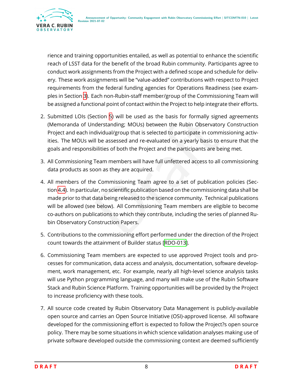

rience and training opportunities entailed, as well as potential to enhance the scientific reach of LSST data for the benefit of the broad Rubin community. Participants agree to conduct work assignments from the Project with a defined scope and schedule for delivery. These work assignments will be "value-added" contributions with respect to Project requirements from the federal funding agencies for Operations Readiness (see examples in Section [3\)](#page-5-0). Each non-Rubin-staff member/group of the Commissioning Team will be assigned a functional point of contact within the Project to help integrate their efforts.

- 2. Submitted LOIs (Section [5](#page-15-0)) will be used as the basis for formally signed agreements (Memoranda of Understanding; MOUs) between the Rubin Observatory Construction Project and each individual/group that is selected to participate in commissioning activities. The MOUs will be assessed and re-evaluated on a yearly basis to ensure that the goals and responsibilities of both the Project and the participants are being met.
- 3. All Commissioning Team members will have full unfettered access to all commissioning data products as soon as they are acquired.
- ection 5) will be used as the basis for formally signed anderstanding; MOUs) between the Rubin Observatory C<br>dividual/group that is selected to participate in commissil<br>li be assessed and re-evaluated on a yearly basis to 4. All members of the Commissioning Team agree to a set of publication policies (Section [4.4\)](#page-13-1). In particular, no scientific publication based on the commissioning data shall be made prior to that data being released to the science community. Technical publications will be allowed (see below). All Commissioning Team members are eligible to become co-authors on publications to which they contribute, including the series of planned Rubin Observatory Construction Papers.
- 5. Contributions to the commissioning effort performed under the direction of the Project count towards the attainment of Builder status[[RDO-013\]](#page-20-1).
- 6. Commissioning Team members are expected to use approved Project tools and processes for communication, data access and analysis, documentation, software development, work management, etc. For example, nearly all high-level science analysis tasks will use Python programming language, and many will make use of the Rubin Software Stack and Rubin Science Platform. Training opportunities will be provided by the Project to increase proficiency with these tools.
- 7. All source code created by Rubin Observatory Data Management is publicly-available open source and carries an Open Source Initiative (OSI)-approved license. All software developed for the commissioning effort is expected to follow the Project?s open source policy. There may be some situations in which science validation analyses making use of private software developed outside the commissioning context are deemed sufficiently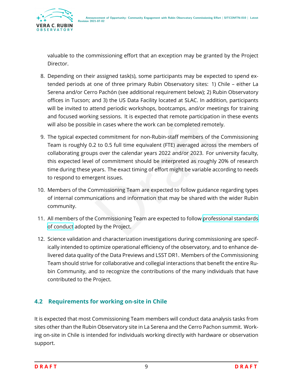

valuable to the commissioning effort that an exception may be granted by the Project Director.

- 8. Depending on their assigned task(s), some participants may be expected to spend extended periods at one of three primary Rubin Observatory sites: 1) Chile – either La Serena and/or Cerro Pachón (see additional requirement below); 2) Rubin Observatory offices in Tucson; and 3) the US Data Facility located at SLAC. In addition, participants will be invited to attend periodic workshops, bootcamps, and/or meetings for training and focused working sessions. It is expected that remote participation in these events will also be possible in cases where the work can be completed remotely.
- be in cases where the work can be completed remote participation in the in cases where the work can be completed remotely.<br>
d commitment for non-Rubin-staff members of the Con<br>
2 to 0.5 full time equivalent (FTE) averaged 9. The typical expected commitment for non-Rubin-staff members of the Commissioning Team is roughly 0.2 to 0.5 full time equivalent (FTE) averaged across the members of collaborating groups over the calendar years 2022 and/or 2023. For university faculty, this expected level of commitment should be interpreted as roughly 20% of research time during these years. The exact timing of effort might be variable according to needs to respond to emergent issues.
- 10. Members of the Commissioning Team are expected to follow guidance regarding types of internal communications and information that may be shared with the wider Rubin community.
- 11. All members of the Commissioning Team are expected to follow [professional standards](https://www.lsst.org/scientists/codes-of-conduct) [of conduct](https://www.lsst.org/scientists/codes-of-conduct) adopted by the Project.
- 12. Science validation and characterization investigations during commissioning are specifically intended to optimize operational efficiency of the observatory, and to enhance delivered data quality of the Data Previews and LSST DR1. Members of the Commissioning Team should strive for collaborative and collegial interactions that benefit the entire Rubin Community, and to recognize the contributions of the many individuals that have contributed to the Project.

#### <span id="page-12-0"></span>**4.2 Requirements for working on-site in Chile**

It is expected that most Commissioning Team members will conduct data analysis tasks from sites other than the Rubin Observatory site in La Serena and the Cerro Pachon summit. Working on-site in Chile is intended for individuals working directly with hardware or observation support.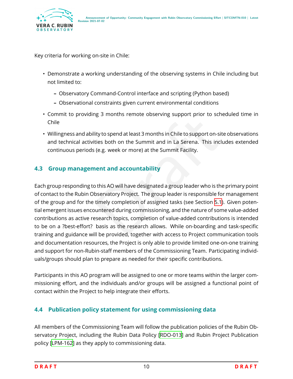

Key criteria for working on-site in Chile:

- Demonstrate a working understanding of the observing systems in Chile including but not limited to:
	- **–** Observatory Command-Control interface and scripting (Python based)
	- **–** Observational constraints given current environmental conditions
- Commit to providing 3 months remote observing support prior to scheduled time in Chile
- Willingness and ability to spend at least 3 months in Chile to support on-site observations and technical activities both on the Summit and in La Serena. This includes extended continuous periods (e.g. week or more) at the Summit Facility.

#### <span id="page-13-0"></span>**4.3 Group management and accountability**

ity to spend at least 3 months in Chile to support prior to scried<br>ties both on the Summit and in La Serena. This include<br>(e.g. week or more) at the Summit Facility.<br>**nent and accountability**<br>of this AO will have designate Each group responding to this AO will have designated a group leader who is the primary point of contact to the Rubin Observatory Project. The group leader is responsible for management of the group and for the timely completion of assigned tasks (see Section 5.1). Given potential emergent issues encountered during commissioning, and the nature of some value-added contributions as active research topics, completion of value-added contributions is intended to be on a ?best-effort? basis as the research allows. While on-boarding and task-specific training and guidance will be provided, together with access to Project communication tools and documentation resources, the Project is only able to provide limited one-on-one training and support for non-Rubin-staff members of the Commissioning Team. Participating individuals/groups should plan to prepare as needed for their specific contributions.

Participants in this AO program will be assigned to one or more teams within the larger commissioning effort, and the individuals and/or groups will be assigned a functional point of contact within the Project to help integrate their efforts.

#### <span id="page-13-1"></span>**4.4 Publication policy statement for using commissioning data**

All members of the Commissioning Team will follow the publication policies of the Rubin Observatory Project, including the Rubin Data Policy [\[RDO-013\]](#page-20-1) and Rubin Project Publication policy[[LPM-162](#page-21-5)] as they apply to commissioning data.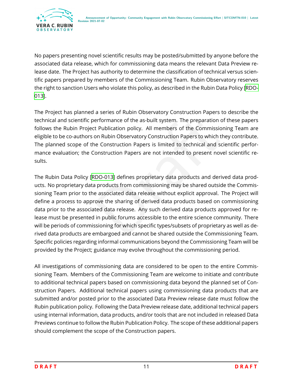

No papers presenting novel scientific results may be posted/submitted by anyone before the associated data release, which for commissioning data means the relevant Data Preview release date. The Project has authority to determine the classification of technical versus scientific papers prepared by members of the Commissioning Team. Rubin Observatory reserves the right to sanction Users who violate this policy, as described in the Rubin Data Policy [\[RDO-](#page-20-1)[013\]](#page-20-1).

The Project has planned a series of Rubin Observatory Construction Papers to describe the technical and scientific performance of the as-built system. The preparation of these papers follows the Rubin Project Publication policy. All members of the Commissioning Team are eligible to be co-authors on Rubin Observatory Construction Papers to which they contribute. The planned scope of the Construction Papers is limited to technical and scientific performance evaluation; the Construction Papers are not intended to present novel scientific results.

erformance of the as-built system. The preparation of the the Publication policy. All members of the Commissionin<br>on Rubin Observatory Construction Papers to which they<br>ne Construction Papers is limited to technical and sc The Rubin Data Policy [RDO-013] defines proprietary data products and derived data products. No proprietary data products from commissioning may be shared outside the Commissioning Team prior to the associated data release without explicit approval. The Project will define a process to approve the sharing of derived data products based on commissioning data prior to the associated data release. Any such derived data products approved for release must be presented in public forums accessible to the entire science community. There will be periods of commissioning for which specific types/subsets of proprietary as well as derived data products are embargoed and cannot be shared outside the Commissioning Team. Specific policies regarding informal communications beyond the Commissioning Team will be provided by the Project; guidance may evolve throughout the commissioning period.

All investigations of commissioning data are considered to be open to the entire Commissioning Team. Members of the Commissioning Team are welcome to initiate and contribute to additional technical papers based on commissioning data beyond the planned set of Construction Papers. Additional technical papers using commissioning data products that are submitted and/or posted prior to the associated Data Preview release date must follow the Rubin publication policy. Following the Data Preview release date, additional technical papers using internal information, data products, and/or tools that are not included in released Data Previews continue to follow the Rubin Publication Policy. The scope of these additional papers should complement the scope of the Construction papers.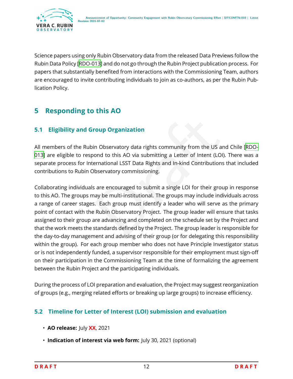

Science papers using only Rubin Observatory data from the released Data Previews follow the Rubin Data Policy[[RDO-013](#page-20-1)] and do not go through the Rubin Project publication process. For papers that substantially benefited from interactions with the Commissioning Team, authors are encouraged to invite contributing individuals to join as co-authors, as per the Rubin Publication Policy.

## <span id="page-15-0"></span>**5 Responding to this AO**

#### **5.1 Eligibility and Group Organization**

All members of the Rubin Observatory data rights community from the US and Chile [\[RDO-](#page-20-1)[013\]](#page-20-1) are eligible to respond to this AO via submitting a Letter of Intent (LOI). There was a separate process for International LSST Data Rights and In-kind Contributions that included contributions to Rubin Observatory commissioning.

<span id="page-15-1"></span>The US and the Secure of Secure 2013<br>The US and ond to this AO via submitting a Letter of Intent (LOI). The<br>The UST Data Rights and In-kind Contributions the<br>Servatory commissioning.<br>The Servatory commissioning.<br>The Servat Collaborating individuals are encouraged to submit a single LOI for their group in response to this AO. The groups may be multi-institutional. The groups may include individuals across a range of career stages. Each group must identify a leader who will serve as the primary point of contact with the Rubin Observatory Project. The group leader will ensure that tasks assigned to their group are advancing and completed on the schedule set by the Project and that the work meets the standards defined by the Project. The group leader is responsible for the day-to-day management and advising of their group (or for delegating this responsibility within the group). For each group member who does not have Principle Investigator status or is not independently funded, a supervisor responsible for their employment must sign-off on their participation in the Commissioning Team at the time of formalizing the agreement between the Rubin Project and the participating individuals.

During the process of LOI preparation and evaluation, the Project may suggest reorganization of groups (e.g., merging related efforts or breaking up large groups) to increase efficiency.

#### <span id="page-15-2"></span>**5.2 Timeline for Letter of Interest (LOI) submission and evaluation**

- **AO release:** July **XX**, 2021
- **Indication of interest via web form:** July 30, 2021 (optional)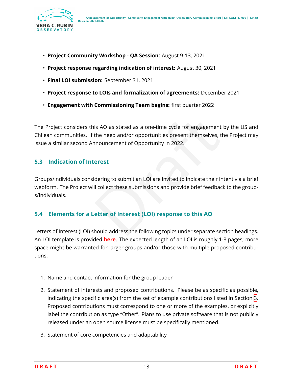

- **Project Community Workshop QA Session:** August 9-13, 2021
- **Project response regarding indication of interest:** August 30, 2021
- **Final LOI submission:** September 31, 2021
- **Project response to LOIs and formalization of agreements:** December 2021
- **Engagement with Commissioning Team begins:** first quarter 2022

is AO as stated as a one-time cycle for engagement by<br>the need and/or opportunities present themselves, the<br>nouncement of Opportunity in 2022.<br>**erest**<br>dering to submit an LOI are invited to indicate their inter<br>ll collect The Project considers this AO as stated as a one-time cycle for engagement by the US and Chilean communities. If the need and/or opportunities present themselves, the Project may issue a similar second Announcement of Opportunity in 2022.

#### <span id="page-16-0"></span>**5.3 Indication of Interest**

Groups/individuals considering to submit an LOI are invited to indicate their intent via a brief webform. The Project will collect these submissions and provide brief feedback to the groups/individuals.

#### <span id="page-16-1"></span>**5.4 Elements for a Letter of Interest (LOI) response to this AO**

Letters of Interest (LOI) should address the following topics under separate section headings. An LOI template is provided **here**. The expected length of an LOI is roughly 1-3 pages; more space might be warranted for larger groups and/or those with multiple proposed contributions.

- 1. Name and contact information for the group leader
- 2. Statement of interests and proposed contributions. Please be as specific as possible, indicating the specific area(s) from the set of example contributions listed in Section [3](#page-5-0) . Proposed contributions must correspond to one or more of the examples, or explicitly label the contribution as type "Other". Plans to use private software that is not publicly released under an open source license must be specifically mentioned.
- 3. Statement of core competencies and adaptability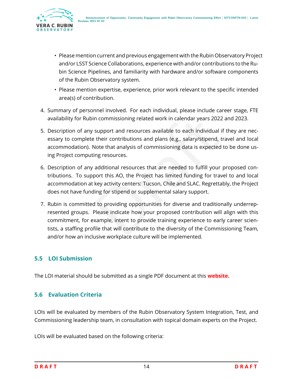

- Please mention current and previous engagement with the Rubin Observatory Project and/or LSST Science Collaborations, experience with and/or contributions to the Rubin Science Pipelines, and familiarity with hardware and/or software components of the Rubin Observatory system.
- Please mention expertise, experience, prior work relevant to the specific intended area(s) of contribution.
- 4. Summary of personnel involved. For each individual, please include career stage, FTE availability for Rubin commissioning related work in calendar years 2022 and 2023.
- 5. Description of any support and resources available to each individual if they are necessary to complete their contributions and plans (e.g., salary/stipend, travel and local accommodation). Note that analysis of commissioning data is expected to be done using Project computing resources.
- 6. Description of any additional resources that are needed to fulfill your proposed contributions. To support this AO, the Project has limited funding for travel to and local accommodation at key activity centers: Tucson, Chile and SLAC. Regrettably, the Project does not have funding for stipend or supplemental salary support.
- n commissioning related work in calendar years 2022 an<br>support and resources available to each individual if th<br>their contributions and plans (e.g., salary/stipend, trav<br>dote that analysis of commissioning data is expected 7. Rubin is committed to providing opportunities for diverse and traditionally underrepresented groups. Please indicate how your proposed contribution will align with this commitment, for example, intent to provide training experience to early career scientists, a staffing profile that will contribute to the diversity of the Commissioning Team, and/or how an inclusive workplace culture will be implemented.

#### <span id="page-17-0"></span>**5.5 LOI Submission**

<span id="page-17-1"></span>The LOI material should be submitted as a single PDF document at this **website.**

#### **5.6 Evaluation Criteria**

LOIs will be evaluated by members of the Rubin Observatory System Integration, Test, and Commissioning leadership team, in consultation with topical domain experts on the Project.

LOIs will be evaluated based on the following criteria: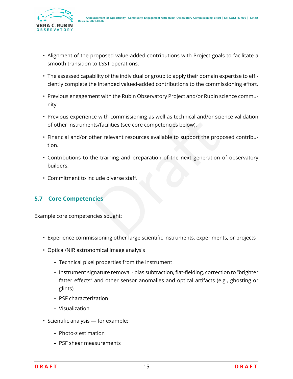

- Alignment of the proposed value-added contributions with Project goals to facilitate a smooth transition to LSST operations.
- The assessed capability of the individual or group to apply their domain expertise to efficiently complete the intended valued-added contributions to the commissioning effort.
- Previous engagement with the Rubin Observatory Project and/or Rubin science community.
- Previous experience with commissioning as well as technical and/or science validation of other instruments/facilities (see core competencies below).
- Financial and/or other relevant resources available to support the proposed contribution.
- e with commissioning as well as technical and/or sciencets/facilities (see core competencies below).<br>
her relevant resources available to support the propose<br>
ne training and preparation of the next generation of<br>
lude div • Contributions to the training and preparation of the next generation of observatory builders.
- Commitment to include diverse staff.

#### <span id="page-18-0"></span>**5.7 Core Competencies**

Example core competencies sought:

- Experience commissioning other large scientific instruments, experiments, or projects
- Optical/NIR astronomical image analysis
	- **–** Technical pixel properties from the instrument
	- **–** Instrument signature removal bias subtraction, flat-fielding, correction to "brighter fatter effects" and other sensor anomalies and optical artifacts (e.g., ghosting or glints)
	- **–** PSF characterization
	- **–** Visualization
- Scientific analysis for example:
	- **–** Photo-z estimation
	- **–** PSF shear measurements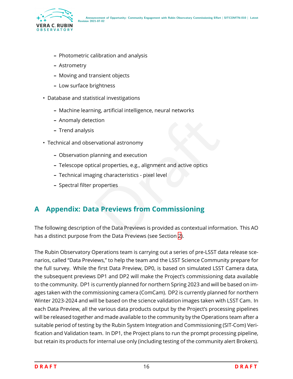

- **–** Photometric calibration and analysis
- **–** Astrometry
- **–** Moving and transient objects
- **–** Low surface brightness
- Database and statistical investigations
	- **–** Machine learning, artificial intelligence, neural networks
	- **–** Anomaly detection
	- **–** Trend analysis
- Technical and observational astronomy
	- **–** Observation planning and execution
	- **–** Telescope optical properties, e.g., alignment and active optics
	- **–** Technical imaging characteristics pixel level
	- **–** Spectral filter properties

## <span id="page-19-0"></span>**A Appendix: Data Previews from Commissioning**

Transformal<br>
Stational astronomy<br>
Standard Properties, e.g., alignment and active optics<br>
Standard Previews From Commissioning<br>
The Data Previews is provided as contextual information<br>
The Data Previews is provided as cont The following description of the Data Previews is provided as contextual information. This AO has a distinct purpose from the Data Previews (see Section [2\)](#page-4-1).

The Rubin Observatory Operations team is carrying out a series of pre-LSST data release scenarios, called "Data Previews," to help the team and the LSST Science Community prepare for the full survey. While the first Data Preview, DP0, is based on simulated LSST Camera data, the subsequent previews DP1 and DP2 will make the Project's commissioning data available to the community. DP1 is currently planned for northern Spring 2023 and will be based on images taken with the commissioning camera (ComCam). DP2 is currently planned for northern Winter 2023-2024 and will be based on the science validation images taken with LSST Cam. In each Data Preview, all the various data products output by the Project's processing pipelines will be released together and made available to the community by the Operations team after a suitable period of testing by the Rubin System Integration and Commissioning (SIT-Com) Verification and Validation team. In DP1, the Project plans to run the prompt processing pipeline, but retain its products for internal use only (including testing of the community alert Brokers).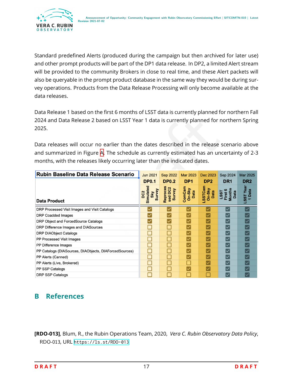

Standard predefined Alerts (produced during the campaign but then archived for later use) and other prompt products will be part of the DP1 data release. In DP2, a limited Alert stream will be provided to the community Brokers in close to real time, and these Alert packets will also be queryable in the prompt product database in the same way they would be during survey operations. Products from the Data Release Processing will only become available at the data releases.

Data Release 1 based on the first 6 months of LSST data is currently planned for northern Fall 2024 and Data Release 2 based on LSST Year 1 data is currently planned for northern Spring 2025.

| 2024 and Data Release 2 based on LSST Year 1 data is currently planned for northern Spring<br>2025. |                                               |                               |                          |                           |                                   |                     |
|-----------------------------------------------------------------------------------------------------|-----------------------------------------------|-------------------------------|--------------------------|---------------------------|-----------------------------------|---------------------|
| Data releases will occur no earlier than the dates described in the release scenario above          |                                               |                               |                          |                           |                                   |                     |
| and summarized in Figure A. The schedule as currently estimated has an uncertainty of 2-3           |                                               |                               |                          |                           |                                   |                     |
| months, with the releases likely occurring later than the indicated dates.                          |                                               |                               |                          |                           |                                   |                     |
| Rubin Baseline Data Release Scenario                                                                | <b>Jun 2021</b>                               | <b>Sep 2022</b>               | <b>Mar 2023</b>          | <b>Dec 2023</b>           | Sep 2024                          | <b>Mar 2025</b>     |
|                                                                                                     | <b>DP0.1</b>                                  | <b>DP0.2</b>                  | DP <sub>1</sub>          | DP <sub>2</sub>           | DR <sub>1</sub>                   | DR <sub>2</sub>     |
| <b>Data Product</b>                                                                                 | Simulated<br>Sky<br>Survey<br>DC <sub>2</sub> | Reproces<br>sed DC2<br>Survey | ComCam<br>On-Sky<br>Data | LSSTCam<br>On-Sky<br>Data | LSST<br>First 6<br>Months<br>Data | LSST Year<br>1 Data |
| DRP Processed Visit Images and Visit Catalogs                                                       |                                               |                               |                          |                           | $\overline{\checkmark}$           |                     |
| <b>DRP Coadded Images</b>                                                                           |                                               |                               |                          |                           | $\checkmark$                      |                     |
| DRP Object and ForcedSource Catalogs                                                                |                                               |                               |                          |                           | $\blacktriangledown$              |                     |
| DRP Difference Images and DIASources                                                                |                                               |                               |                          |                           | $\blacktriangledown$              |                     |
| <b>DRP DIAObject Catalogs</b>                                                                       |                                               |                               |                          |                           | $\checkmark$                      |                     |
| PP Processed Visit Images                                                                           | ⊓                                             |                               |                          |                           | $\blacktriangledown$              |                     |
| PP Difference Images                                                                                | П                                             |                               | $\checkmark$             |                           | $\overline{\mathsf{v}}$           |                     |
| PP Catalogs (DIASources, DIAObjects, DIAForcedSources)                                              | □                                             |                               | $\checkmark$             |                           | $\checkmark$                      |                     |
| PP Alerts (Canned)                                                                                  | □                                             |                               | $\checkmark$             |                           | $\blacktriangledown$              |                     |
| PP Alerts (Live, Brokered)                                                                          |                                               |                               |                          |                           | $\checkmark$                      |                     |
| PP SSP Catalogs                                                                                     |                                               |                               |                          |                           |                                   |                     |
| <b>DRP SSP Catalogs</b>                                                                             |                                               |                               |                          |                           |                                   |                     |

## <span id="page-20-0"></span>**B References**

<span id="page-20-1"></span>**[RDO-013]**, Blum, R., the Rubin Operations Team, 2020, *Vera C. Rubin Observatory Data Policy*, RDO-013, URL <https://ls.st/RDO-013>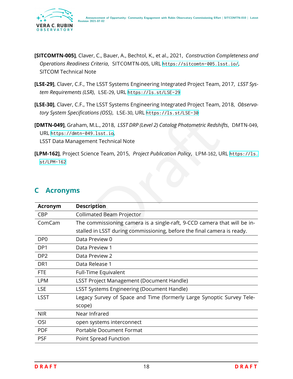

- <span id="page-21-3"></span>**[SITCOMTN-005]**, Claver, C., Bauer, A., Bechtol, K., et al., 2021, *Construction Completeness and* Operations Readiness Criteria, SITCOMTN-005, URL https://sitcomtn-005.1sst.io/, SITCOM Technical Note
- <span id="page-21-1"></span>**[LSE-29]**, Claver, C.F., The LSST Systems Engineering Integrated Project Team, 2017, *LSST System Requirements (LSR)*, LSE-29, URL <https://ls.st/LSE-29>
- <span id="page-21-2"></span>**[LSE-30]**, Claver, C.F., The LSST Systems Engineering Integrated Project Team, 2018, *Observatory System Specifications (OSS)*, LSE-30, URL <https://ls.st/LSE-30>
- **[DMTN-049]**, Graham, M.L., 2018, *LSST DRP (Level 2) Catalog Photometric Redshifts* , DMTN-049 , URL <https://dmtn-049.lsst.io> , LSST Data Management Technical Note
- <span id="page-21-5"></span>**[LPM-162]**, Project Science Team, 2015, *Project Publication Policy*, LPM-162, URL [https://ls.](https://ls.st/LPM-162) [st/LPM-162](https://ls.st/LPM-162)

<span id="page-21-4"></span>

|                                 | [DMTN-049], Graham, M.L., 2018, LSST DRP (Level 2) Catalog Photometric Redshifts, DMTN-04<br>URL https://dmtn-049.lsst.io,<br><b>LSST Data Management Technical Note</b> |
|---------------------------------|--------------------------------------------------------------------------------------------------------------------------------------------------------------------------|
| $st/LPM-162$<br><b>Acronyms</b> | [LPM-162], Project Science Team, 2015, Project Publication Policy, LPM-162, URL https://1s                                                                               |
|                                 |                                                                                                                                                                          |
| Acronym                         | <b>Description</b>                                                                                                                                                       |
| <b>CBP</b>                      | <b>Collimated Beam Projector</b>                                                                                                                                         |
| ComCam                          | The commissioning camera is a single-raft, 9-CCD camera that will be in-                                                                                                 |
|                                 | stalled in LSST during commissioning, before the final camera is ready.                                                                                                  |
| DP <sub>0</sub>                 | Data Preview 0                                                                                                                                                           |
| DP1                             | Data Preview 1                                                                                                                                                           |
| DP <sub>2</sub>                 | Data Preview 2                                                                                                                                                           |
| DR <sub>1</sub>                 | Data Release 1                                                                                                                                                           |
| <b>FTE</b>                      | Full-Time Equivalent                                                                                                                                                     |
| <b>LPM</b>                      | <b>LSST Project Management (Document Handle)</b>                                                                                                                         |
| <b>LSE</b>                      | <b>LSST Systems Engineering (Document Handle)</b>                                                                                                                        |
| <b>LSST</b>                     | Legacy Survey of Space and Time (formerly Large Synoptic Survey Tele-                                                                                                    |
|                                 | scope)                                                                                                                                                                   |
| <b>NIR</b>                      | Near Infrared                                                                                                                                                            |
| OSI                             | open systems interconnect                                                                                                                                                |
| <b>PDF</b>                      | <b>Portable Document Format</b>                                                                                                                                          |
| <b>PSF</b>                      | Point Spread Function                                                                                                                                                    |
|                                 |                                                                                                                                                                          |

#### <span id="page-21-0"></span>**C Acronyms**